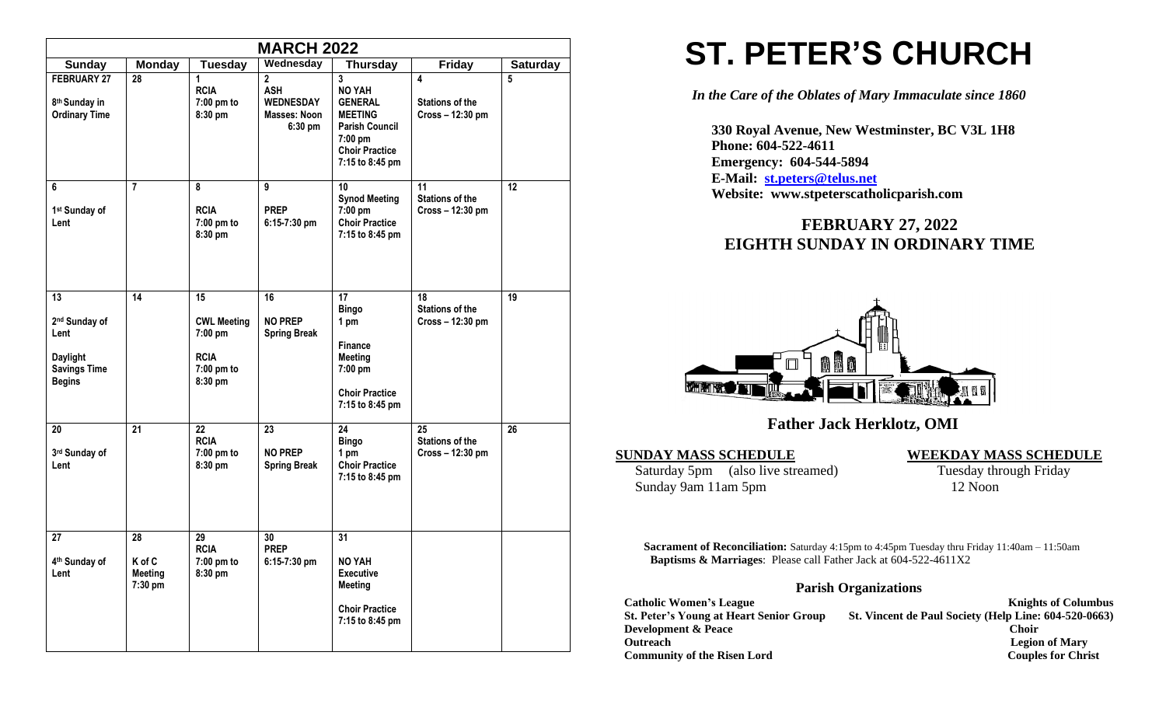| <b>MARCH 2022</b>                                                                                  |                                    |                                                                               |                                                                                 |                                                                                                                                                              |                                                                     |                 |  |  |
|----------------------------------------------------------------------------------------------------|------------------------------------|-------------------------------------------------------------------------------|---------------------------------------------------------------------------------|--------------------------------------------------------------------------------------------------------------------------------------------------------------|---------------------------------------------------------------------|-----------------|--|--|
| <b>Sunday</b>                                                                                      | <b>Monday</b>                      | <b>Tuesday</b>                                                                | Wednesday                                                                       | <b>Thursday</b>                                                                                                                                              | <b>Friday</b>                                                       | <b>Saturday</b> |  |  |
| <b>FEBRUARY 27</b><br>8 <sup>th</sup> Sunday in<br><b>Ordinary Time</b>                            | 28                                 | 1<br><b>RCIA</b><br>7:00 pm to<br>8:30 pm                                     | $\mathbf 2$<br><b>ASH</b><br><b>WEDNESDAY</b><br><b>Masses: Noon</b><br>6:30 pm | $\overline{\mathbf{3}}$<br><b>NO YAH</b><br><b>GENERAL</b><br><b>MEETING</b><br><b>Parish Council</b><br>7:00 pm<br><b>Choir Practice</b><br>7:15 to 8:45 pm | $\overline{\mathbf{4}}$<br><b>Stations of the</b><br>Cross-12:30 pm | 5               |  |  |
| 6<br>1st Sunday of<br>Lent                                                                         | $\overline{7}$                     | 8<br><b>RCIA</b><br>7:00 pm to<br>8:30 pm                                     | 9<br><b>PREP</b><br>6:15-7:30 pm                                                | 10<br><b>Synod Meeting</b><br>7:00 pm<br><b>Choir Practice</b><br>7:15 to 8:45 pm                                                                            | 11<br><b>Stations of the</b><br>Cross - 12:30 pm                    | 12              |  |  |
| 13<br>2 <sup>nd</sup> Sunday of<br>Lent<br><b>Daylight</b><br><b>Savings Time</b><br><b>Begins</b> | 14                                 | 15<br><b>CWL Meeting</b><br>7:00 pm<br><b>RCIA</b><br>$7:00$ pm to<br>8:30 pm | 16<br><b>NO PREP</b><br><b>Spring Break</b>                                     | 17<br><b>Bingo</b><br>1 pm<br>Finance<br><b>Meeting</b><br>7:00 pm<br><b>Choir Practice</b><br>7:15 to 8:45 pm                                               | 18<br><b>Stations of the</b><br>Cross - 12:30 pm                    | 19              |  |  |
| 20<br>3rd Sunday of<br>Lent                                                                        | 21                                 | 22<br><b>RCIA</b><br>7:00 pm to<br>8:30 pm                                    | 23<br><b>NO PREP</b><br><b>Spring Break</b>                                     | $\overline{24}$<br><b>Bingo</b><br>1 pm<br><b>Choir Practice</b><br>7:15 to 8:45 pm                                                                          | 25<br><b>Stations of the</b><br>Cross - 12:30 pm                    | 26              |  |  |
| 27<br>4 <sup>th</sup> Sunday of<br>Lent                                                            | 28<br>K of C<br>Meeting<br>7:30 pm | 29<br><b>RCIA</b><br>7:00 pm to<br>8:30 pm                                    | 30<br><b>PREP</b><br>6:15-7:30 pm                                               | 31<br><b>NO YAH</b><br><b>Executive</b><br><b>Meeting</b><br><b>Choir Practice</b><br>7:15 to 8:45 pm                                                        |                                                                     |                 |  |  |

# **ST. PETER'S CHURCH**

*In the Care of the Oblates of Mary Immaculate since 1860*

 **330 Royal Avenue, New Westminster, BC V3L 1H8 Phone: 604-522-4611 Emergency: 604-544-5894 E-Mail: [st.peters@telus.net](mailto:st.peters@telus.net) Website: www.stpeterscatholicparish.com**

# **FEBRUARY 27, 2022 EIGHTH SUNDAY IN ORDINARY TIME**



# **Father Jack Herklotz, OMI**

Saturday 5pm (also live streamed) Tuesday through Friday<br>Sunday 9am 11am 5pm 12 Noon Sunday 9am 11am 5pm

**SUNDAY MASS SCHEDULE WEEKDAY MASS SCHEDULE**

**Sacrament of Reconciliation:** Saturday 4:15pm to 4:45pm Tuesday thru Friday 11:40am – 11:50am  **Baptisms & Marriages**: Please call Father Jack at 604-522-4611X2

### **Parish Organizations**

| <b>Catholic Women's League</b>                 | <b>Knights of Columbus</b>                            |
|------------------------------------------------|-------------------------------------------------------|
| <b>St. Peter's Young at Heart Senior Group</b> | St. Vincent de Paul Society (Help Line: 604-520-0663) |
| <b>Development &amp; Peace</b>                 | Choir                                                 |
| <b>Outreach</b>                                | <b>Legion of Mary</b>                                 |
| <b>Community of the Risen Lord</b>             | <b>Couples for Christ</b>                             |